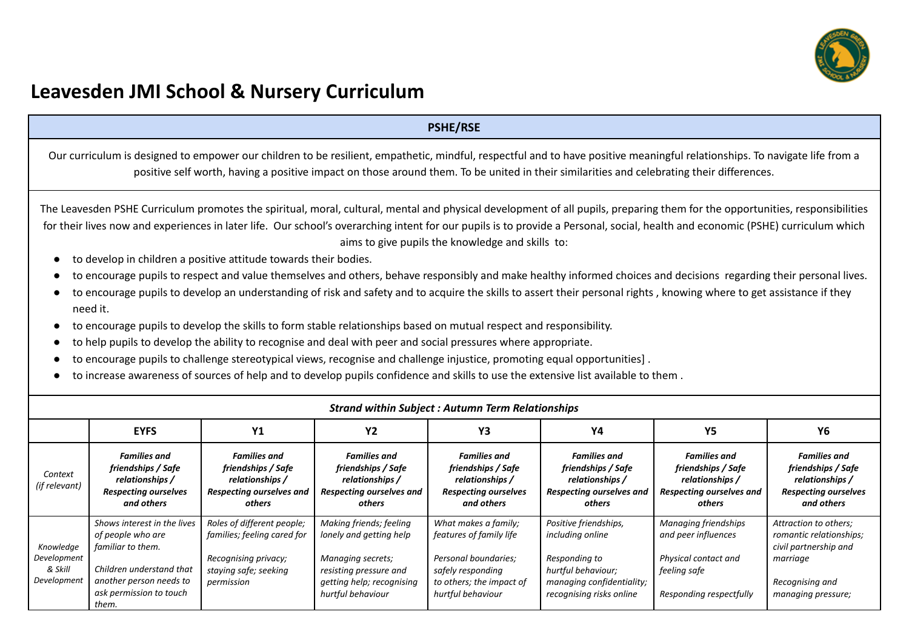

# **Leavesden JMI School & Nursery Curriculum**

### **PSHE/RSE**

Our curriculum is designed to empower our children to be resilient, empathetic, mindful, respectful and to have positive meaningful relationships. To navigate life from a positive self worth, having a positive impact on those around them. To be united in their similarities and celebrating their differences.

The Leavesden PSHE Curriculum promotes the spiritual, moral, cultural, mental and physical development of all pupils, preparing them for the opportunities, responsibilities for their lives now and experiences in later life. Our school's overarching intent for our pupils is to provide a Personal, social, health and economic (PSHE) curriculum which aims to give pupils the knowledge and skills to:

- to develop in children a positive attitude towards their bodies.
- to encourage pupils to respect and value themselves and others, behave responsibly and make healthy informed choices and decisions regarding their personal lives.
- to encourage pupils to develop an understanding of risk and safety and to acquire the skills to assert their personal rights, knowing where to get assistance if they need it.
- to encourage pupils to develop the skills to form stable relationships based on mutual respect and responsibility.
- to help pupils to develop the ability to recognise and deal with peer and social pressures where appropriate.
- to encourage pupils to challenge stereotypical views, recognise and challenge injustice, promoting equal opportunities].
- to increase awareness of sources of help and to develop pupils confidence and skills to use the extensive list available to them .

|                                                    | <b>Strand within Subject: Autumn Term Relationships</b>                                                                                                          |                                                                                                                          |                                                                                                                                                     |                                                                                                                                               |                                                                                                                                           |                                                                                                                |                                                                                                                                |  |  |  |  |
|----------------------------------------------------|------------------------------------------------------------------------------------------------------------------------------------------------------------------|--------------------------------------------------------------------------------------------------------------------------|-----------------------------------------------------------------------------------------------------------------------------------------------------|-----------------------------------------------------------------------------------------------------------------------------------------------|-------------------------------------------------------------------------------------------------------------------------------------------|----------------------------------------------------------------------------------------------------------------|--------------------------------------------------------------------------------------------------------------------------------|--|--|--|--|
|                                                    | <b>EYFS</b>                                                                                                                                                      | Y1                                                                                                                       | Y2                                                                                                                                                  | Y3                                                                                                                                            | Υ4                                                                                                                                        | Υ5                                                                                                             | Υ6                                                                                                                             |  |  |  |  |
| Context<br>(if relevant)                           | <b>Families and</b><br>friendships / Safe<br>relationships /<br><b>Respecting ourselves</b><br>and others                                                        | <b>Families and</b><br>friendships / Safe<br>relationships /<br><b>Respecting ourselves and</b><br>others                | <b>Families and</b><br>friendships / Safe<br>relationships /<br><b>Respecting ourselves and</b><br>others                                           | <b>Families and</b><br>friendships / Safe<br>relationships /<br><b>Respecting ourselves</b><br>and others                                     | <b>Families and</b><br>friendships / Safe<br>relationships /<br><b>Respecting ourselves and</b><br>others                                 | <b>Families and</b><br>friendships / Safe<br>relationships /<br>Respecting ourselves and<br>others             | <b>Families and</b><br>friendships / Safe<br>relationships /<br><b>Respecting ourselves</b><br>and others                      |  |  |  |  |
| Knowledge<br>Development<br>& Skill<br>Development | Shows interest in the lives<br>of people who are<br>familiar to them.<br>Children understand that<br>another person needs to<br>ask permission to touch<br>them. | Roles of different people;<br>families; feeling cared for<br>Recognising privacy;<br>staying safe; seeking<br>permission | Making friends; feeling<br>lonely and getting help<br>Managing secrets;<br>resisting pressure and<br>getting help; recognising<br>hurtful behaviour | What makes a family;<br>features of family life<br>Personal boundaries;<br>safely responding<br>to others; the impact of<br>hurtful behaviour | Positive friendships,<br>including online<br>Responding to<br>hurtful behaviour;<br>managing confidentiality;<br>recognising risks online | Managing friendships<br>and peer influences<br>Physical contact and<br>feeling safe<br>Responding respectfully | Attraction to others;<br>romantic relationships;<br>civil partnership and<br>marriage<br>Recognising and<br>managing pressure; |  |  |  |  |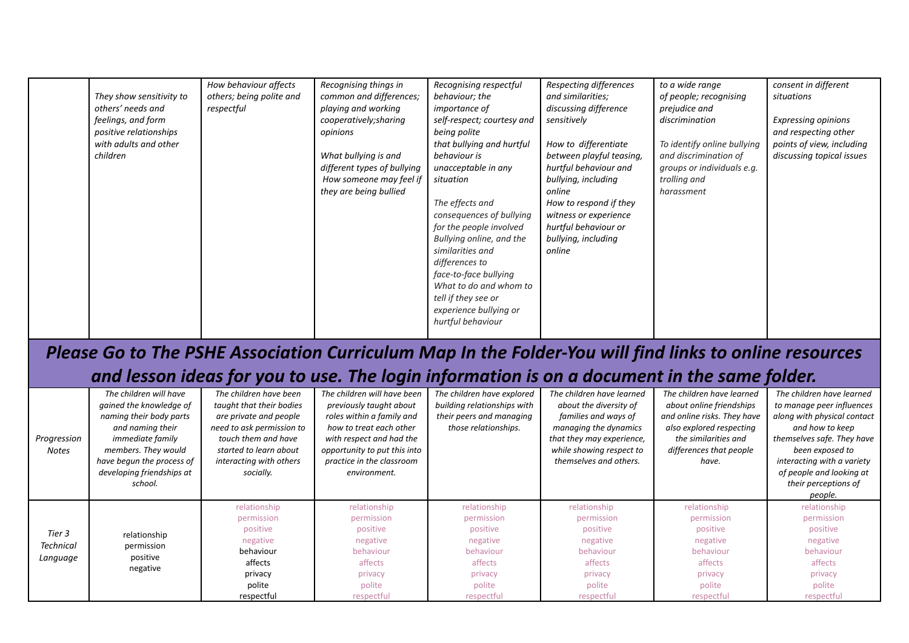| They show sensitivity to<br>others' needs and<br>feelings, and form<br>positive relationships<br>with adults and other<br>children | How behaviour affects<br>others; being polite and<br>respectful | Recognising things in<br>common and differences;<br>playing and working<br>cooperatively; sharing<br>opinions<br>What bullying is and<br>different types of bullying<br>How someone may feel if<br>they are being bullied | Recognising respectful<br>behaviour; the<br><i>importance of</i><br>self-respect; courtesy and<br>being polite<br>that bullying and hurtful<br>behaviour is<br>unacceptable in any<br>situation<br>The effects and<br>consequences of bullying<br>for the people involved<br>Bullying online, and the<br>similarities and | Respecting differences<br>and similarities;<br>discussing difference<br>sensitively<br>How to differentiate<br>between playful teasing,<br>hurtful behaviour and<br>bullying, including<br>online<br>How to respond if they<br>witness or experience<br>hurtful behaviour or<br>bullying, including<br>online | to a wide range<br>of people; recognising<br>prejudice and<br>discrimination<br>To identify online bullying<br>and discrimination of<br>groups or individuals e.g.<br>trolling and<br>harassment | consent in different<br>situations<br><b>Expressing opinions</b><br>and respecting other<br>points of view, including<br>discussing topical issues |
|------------------------------------------------------------------------------------------------------------------------------------|-----------------------------------------------------------------|---------------------------------------------------------------------------------------------------------------------------------------------------------------------------------------------------------------------------|---------------------------------------------------------------------------------------------------------------------------------------------------------------------------------------------------------------------------------------------------------------------------------------------------------------------------|---------------------------------------------------------------------------------------------------------------------------------------------------------------------------------------------------------------------------------------------------------------------------------------------------------------|--------------------------------------------------------------------------------------------------------------------------------------------------------------------------------------------------|----------------------------------------------------------------------------------------------------------------------------------------------------|
|                                                                                                                                    |                                                                 |                                                                                                                                                                                                                           | differences to<br>face-to-face bullying<br>What to do and whom to<br>tell if they see or                                                                                                                                                                                                                                  |                                                                                                                                                                                                                                                                                                               |                                                                                                                                                                                                  |                                                                                                                                                    |
|                                                                                                                                    |                                                                 |                                                                                                                                                                                                                           | experience bullying or<br>hurtful behaviour                                                                                                                                                                                                                                                                               |                                                                                                                                                                                                                                                                                                               |                                                                                                                                                                                                  |                                                                                                                                                    |

# *Please Go to The PSHE Association Curriculum Map In the Folder-You will find links to online resources*

## *and lesson ideas for you to use. The login information is on a document in the same folder.*

| Progression<br>Notes | The children will have<br>gained the knowledge of<br>naming their body parts<br>and naming their<br><i>immediate family</i><br>members. They would<br>have begun the process of<br>developing friendships at<br>school. | The children have been<br>taught that their bodies<br>are private and people<br>need to ask permission to<br>touch them and have<br>started to learn about<br>interacting with others<br>socially. | The children will have been<br>previously taught about<br>roles within a family and<br>how to treat each other<br>with respect and had the<br>opportunity to put this into<br>practice in the classroom<br>environment. | The children have explored<br>building relationships with<br>their peers and managing<br>those relationships. | The children have learned<br>about the diversity of<br>families and ways of<br>managing the dynamics<br>that they may experience,<br>while showing respect to<br>themselves and others. | The children have learned<br>about online friendships<br>and online risks. They have<br>also explored respecting<br>the similarities and<br>differences that people<br>have. | The children have learned<br>to manage peer influences<br>along with physical contact<br>and how to keep<br>themselves safe. They have<br>been exposed to<br>interacting with a variety<br>of people and looking at<br>their perceptions of<br>people. |
|----------------------|-------------------------------------------------------------------------------------------------------------------------------------------------------------------------------------------------------------------------|----------------------------------------------------------------------------------------------------------------------------------------------------------------------------------------------------|-------------------------------------------------------------------------------------------------------------------------------------------------------------------------------------------------------------------------|---------------------------------------------------------------------------------------------------------------|-----------------------------------------------------------------------------------------------------------------------------------------------------------------------------------------|------------------------------------------------------------------------------------------------------------------------------------------------------------------------------|--------------------------------------------------------------------------------------------------------------------------------------------------------------------------------------------------------------------------------------------------------|
|                      |                                                                                                                                                                                                                         | relationship<br>permission                                                                                                                                                                         | relationship<br>permission                                                                                                                                                                                              | relationship<br>permission                                                                                    | relationship<br>permission                                                                                                                                                              | relationship<br>permission                                                                                                                                                   | relationship<br>permission                                                                                                                                                                                                                             |
|                      |                                                                                                                                                                                                                         | positive                                                                                                                                                                                           | positive                                                                                                                                                                                                                | positive                                                                                                      | positive                                                                                                                                                                                | positive                                                                                                                                                                     | positive                                                                                                                                                                                                                                               |
| Tier 3               | relationship                                                                                                                                                                                                            | negative                                                                                                                                                                                           | negative                                                                                                                                                                                                                | negative                                                                                                      | negative                                                                                                                                                                                | negative                                                                                                                                                                     | negative                                                                                                                                                                                                                                               |
| <b>Technical</b>     | permission                                                                                                                                                                                                              | behaviour                                                                                                                                                                                          | behaviour                                                                                                                                                                                                               | behaviour                                                                                                     | behaviour                                                                                                                                                                               | behaviour                                                                                                                                                                    | behaviour                                                                                                                                                                                                                                              |
| Language             | positive                                                                                                                                                                                                                | affects                                                                                                                                                                                            | affects                                                                                                                                                                                                                 | affects                                                                                                       | affects                                                                                                                                                                                 | affects                                                                                                                                                                      | affects                                                                                                                                                                                                                                                |
|                      | negative                                                                                                                                                                                                                | privacy                                                                                                                                                                                            | privacy                                                                                                                                                                                                                 | privacy                                                                                                       | privacy                                                                                                                                                                                 | privacy                                                                                                                                                                      | privacy                                                                                                                                                                                                                                                |
|                      |                                                                                                                                                                                                                         | polite                                                                                                                                                                                             | polite                                                                                                                                                                                                                  | polite                                                                                                        | polite                                                                                                                                                                                  | polite                                                                                                                                                                       | polite                                                                                                                                                                                                                                                 |
|                      |                                                                                                                                                                                                                         | respectful                                                                                                                                                                                         | respectful                                                                                                                                                                                                              | respectful                                                                                                    | respectful                                                                                                                                                                              | respectful                                                                                                                                                                   | respectful                                                                                                                                                                                                                                             |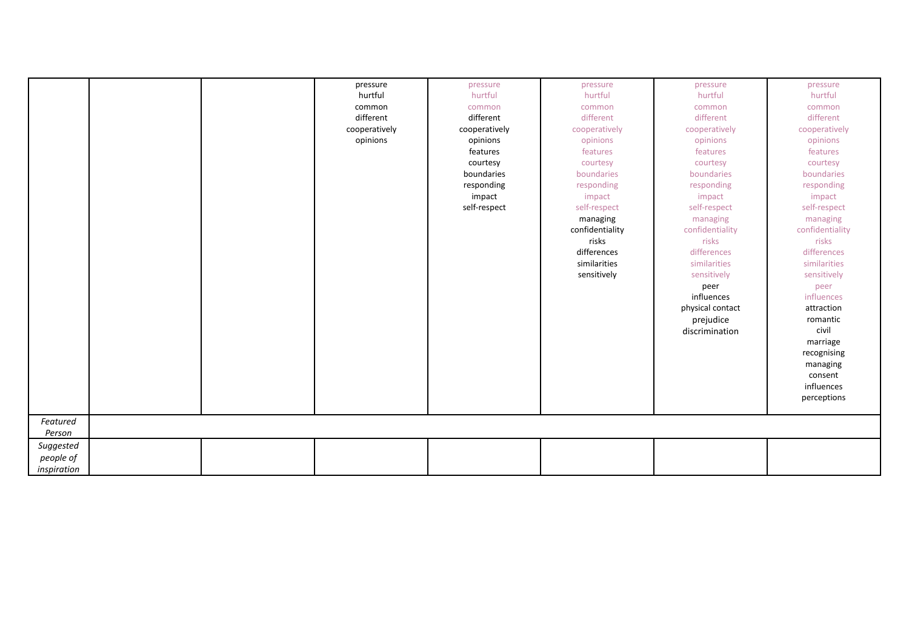|             |  | pressure      | pressure      | pressure        | pressure         | pressure        |
|-------------|--|---------------|---------------|-----------------|------------------|-----------------|
|             |  | hurtful       | hurtful       | hurtful         | hurtful          | hurtful         |
|             |  | common        | common        | common          | common           | common          |
|             |  | different     | different     | different       | different        | different       |
|             |  | cooperatively | cooperatively | cooperatively   | cooperatively    | cooperatively   |
|             |  | opinions      | opinions      | opinions        | opinions         | opinions        |
|             |  |               | features      | features        | features         | features        |
|             |  |               | courtesy      | courtesy        | courtesy         | courtesy        |
|             |  |               | boundaries    | boundaries      | boundaries       | boundaries      |
|             |  |               | responding    | responding      | responding       | responding      |
|             |  |               | impact        | impact          | impact           | impact          |
|             |  |               | self-respect  | self-respect    | self-respect     | self-respect    |
|             |  |               |               | managing        | managing         | managing        |
|             |  |               |               | confidentiality | confidentiality  | confidentiality |
|             |  |               |               | risks           | risks            | risks           |
|             |  |               |               | differences     | differences      | differences     |
|             |  |               |               | similarities    | similarities     | similarities    |
|             |  |               |               | sensitively     | sensitively      | sensitively     |
|             |  |               |               |                 | peer             | peer            |
|             |  |               |               |                 | influences       | influences      |
|             |  |               |               |                 | physical contact | attraction      |
|             |  |               |               |                 | prejudice        | romantic        |
|             |  |               |               |                 | discrimination   | civil           |
|             |  |               |               |                 |                  | marriage        |
|             |  |               |               |                 |                  | recognising     |
|             |  |               |               |                 |                  | managing        |
|             |  |               |               |                 |                  | consent         |
|             |  |               |               |                 |                  | influences      |
|             |  |               |               |                 |                  | perceptions     |
|             |  |               |               |                 |                  |                 |
| Featured    |  |               |               |                 |                  |                 |
| Person      |  |               |               |                 |                  |                 |
| Suggested   |  |               |               |                 |                  |                 |
| people of   |  |               |               |                 |                  |                 |
| inspiration |  |               |               |                 |                  |                 |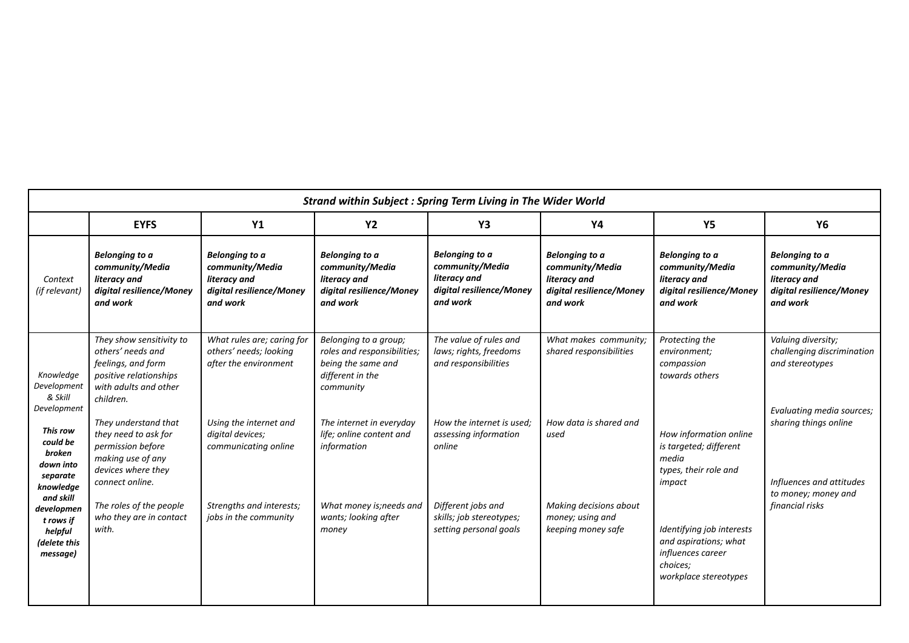|                                                                             | <b>Strand within Subject : Spring Term Living in The Wider World</b>                                                                |                                                                                                  |                                                                                                             |                                                                                                  |                                                                                                  |                                                                                                              |                                                                                                  |  |  |  |  |
|-----------------------------------------------------------------------------|-------------------------------------------------------------------------------------------------------------------------------------|--------------------------------------------------------------------------------------------------|-------------------------------------------------------------------------------------------------------------|--------------------------------------------------------------------------------------------------|--------------------------------------------------------------------------------------------------|--------------------------------------------------------------------------------------------------------------|--------------------------------------------------------------------------------------------------|--|--|--|--|
|                                                                             | <b>EYFS</b>                                                                                                                         | <b>Y1</b>                                                                                        | <b>Y2</b>                                                                                                   | Y3                                                                                               | Y4                                                                                               | <b>Y5</b>                                                                                                    | <b>Y6</b>                                                                                        |  |  |  |  |
| Context<br>(if relevant)                                                    | <b>Belonging to a</b><br>community/Media<br>literacy and<br>digital resilience/Money<br>and work                                    | <b>Belonging to a</b><br>community/Media<br>literacy and<br>digital resilience/Money<br>and work | Belonging to a<br>community/Media<br>literacy and<br>digital resilience/Money<br>and work                   | <b>Belonging to a</b><br>community/Media<br>literacy and<br>digital resilience/Money<br>and work | <b>Belonging to a</b><br>community/Media<br>literacy and<br>digital resilience/Money<br>and work | Belonging to a<br>community/Media<br>literacy and<br>digital resilience/Money<br>and work                    | <b>Belonging to a</b><br>community/Media<br>literacy and<br>digital resilience/Money<br>and work |  |  |  |  |
| Knowledge<br>Development<br>& Skill<br>Development                          | They show sensitivity to<br>others' needs and<br>feelings, and form<br>positive relationships<br>with adults and other<br>children. | What rules are; caring for<br>others' needs; looking<br>after the environment                    | Belonging to a group;<br>roles and responsibilities;<br>being the same and<br>different in the<br>community | The value of rules and<br>laws; rights, freedoms<br>and responsibilities                         | What makes community;<br>shared responsibilities                                                 | Protecting the<br>environment;<br>compassion<br>towards others                                               | Valuing diversity;<br>challenging discrimination<br>and stereotypes                              |  |  |  |  |
| This row<br>could be<br>broken<br>down into<br>separate<br>knowledge        | They understand that<br>they need to ask for<br>permission before<br>making use of any<br>devices where they<br>connect online.     | Using the internet and<br>digital devices;<br>communicating online                               | The internet in everyday<br>life; online content and<br>information                                         | How the internet is used;<br>assessing information<br>online                                     | How data is shared and<br>used                                                                   | How information online<br>is targeted; different<br>media<br>types, their role and<br>impact                 | Evaluating media sources;<br>sharing things online<br>Influences and attitudes                   |  |  |  |  |
| and skill<br>developmen<br>t rows if<br>helpful<br>(delete this<br>message) | The roles of the people<br>who they are in contact<br>with.                                                                         | Strengths and interests;<br>jobs in the community                                                | What money is; needs and<br>wants; looking after<br>money                                                   | Different jobs and<br>skills; job stereotypes;<br>setting personal goals                         | Making decisions about<br>money; using and<br>keeping money safe                                 | Identifying job interests<br>and aspirations; what<br>influences career<br>choices;<br>workplace stereotypes | to money; money and<br>financial risks                                                           |  |  |  |  |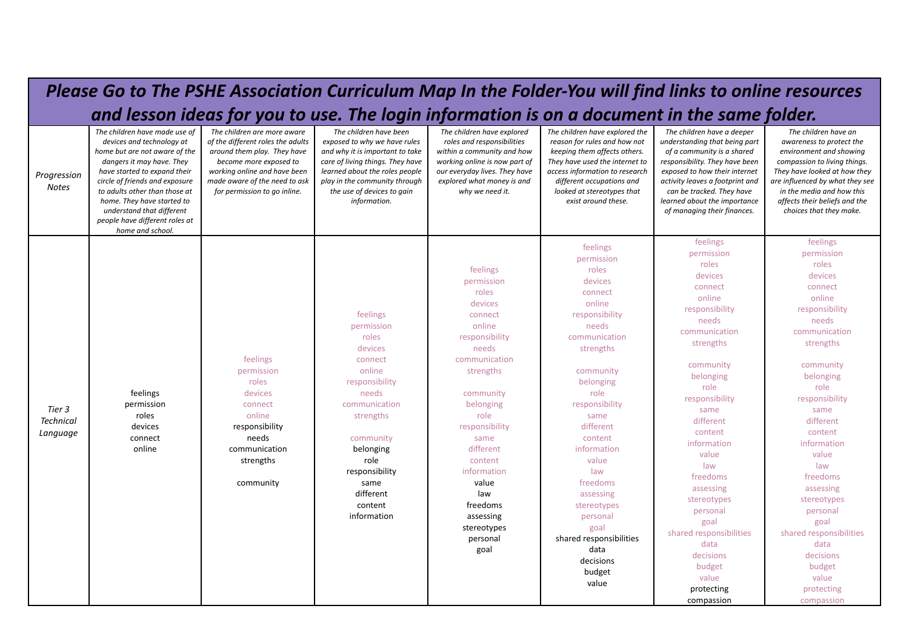### *Please Go to The PSHE Association Curriculum Map In the Folder-You will find links to online resources and lesson ideas for you to use. The login information is on a document in the same folder. Progression Notes The children have made use of devices and technology at home but are not aware of the dangers it may have. They have started to expand their circle of friends and exposure to adults other than those at home. They have started to understand that different people have different roles at home and school. The children are more aware of the different roles the adults around them play. They have become more exposed to working online and have been made aware of the need to ask for permission to go inline. The children have been exposed to why we have rules and why it is important to take care of living things. They have learned about the roles people play in the community through the use of devices to gain information. The children have explored roles and responsibilities within a community and how working online is now part of our everyday lives. They have explored what money is and why we need it. The children have explored the reason for rules and how not keeping them affects others. They have used the internet to access information to research different occupations and looked at stereotypes that exist around these. The children have a deeper understanding that being part of a community is a shared responsibility. They have been exposed to how their internet activity leaves a footprint and can be tracked. They have learned about the importance of managing their finances. The children have an awareness to protect the environment and showing compassion to living things. They have looked at how they are influenced by what they see in the media and how this affects their beliefs and the choices that they make. Tier 3 Technical Language* feelings permission roles devices connect online feelings permission roles devices connect online responsibility needs communication strengths community feelings permission roles devices connect online responsibility needs communication strengths community belonging role responsibility same different content information feelings permission roles devices connect online responsibility needs communication strengths community belonging role responsibility same different content information value law freedoms assessing stereotypes personal goal feelings permission roles devices connect online responsibility needs communication strengths community belonging role responsibility same different content information value law freedoms assessing stereotypes personal goal shared responsibilities data decisions budget value feelings permission roles devices connect online responsibility needs communication strengths community belonging role responsibility same different content information value law freedoms assessing stereotypes personal goal shared responsibilities data decisions budget value protecting compassion feelings permission roles devices connect online responsibility needs communication strengths community belonging role responsibility same different content information value law freedoms assessing stereotypes personal goal shared responsibilities data decisions budget value protecting compassion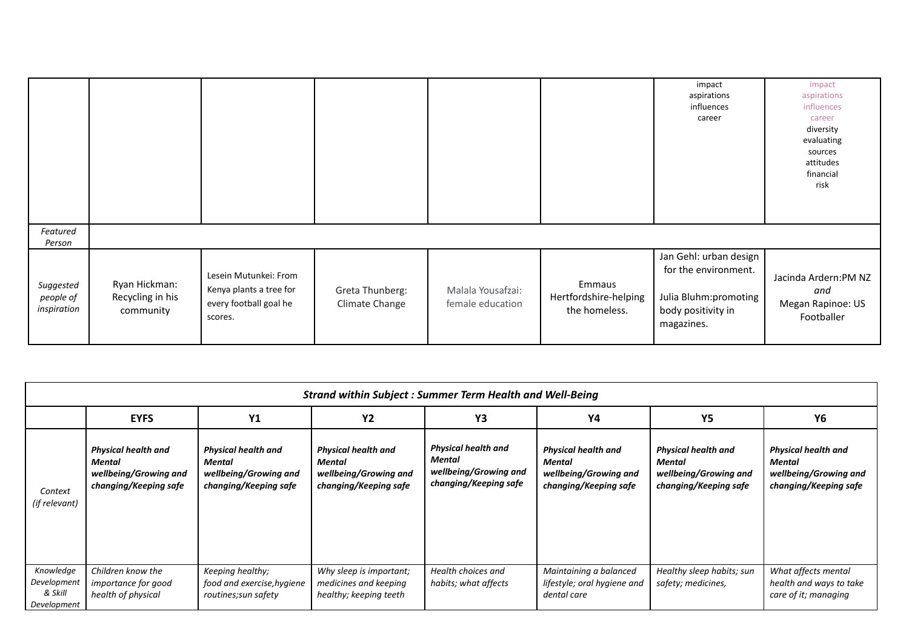|                                       |                                                |                                                                                       |                                   |                                       |                                                  | impact<br>aspirations<br>influences<br>career                                                               | impact<br>aspirations<br>influences<br>career<br>diversity<br>evaluating<br>sources<br>attitudes<br>financial<br>risk |
|---------------------------------------|------------------------------------------------|---------------------------------------------------------------------------------------|-----------------------------------|---------------------------------------|--------------------------------------------------|-------------------------------------------------------------------------------------------------------------|-----------------------------------------------------------------------------------------------------------------------|
| Featured<br>Person                    |                                                |                                                                                       |                                   |                                       |                                                  |                                                                                                             |                                                                                                                       |
| Suggested<br>people of<br>inspiration | Ryan Hickman:<br>Recycling in his<br>community | Lesein Mutunkei: From<br>Kenya plants a tree for<br>every football goal he<br>scores. | Greta Thunberg:<br>Climate Change | Malala Yousafzai:<br>female education | Emmaus<br>Hertfordshire-helping<br>the homeless. | Jan Gehl: urban design<br>for the environment.<br>Julia Bluhm:promoting<br>body positivity in<br>magazines. | Jacinda Ardern:PM NZ<br>and<br>Megan Rapinoe: US<br>Footballer                                                        |

|                                                    | <b>Strand within Subject: Summer Term Health and Well-Being</b>                               |                                                                                               |                                                                                        |                                                                                        |                                                                                        |                                                                                        |                                                                                        |  |  |  |  |
|----------------------------------------------------|-----------------------------------------------------------------------------------------------|-----------------------------------------------------------------------------------------------|----------------------------------------------------------------------------------------|----------------------------------------------------------------------------------------|----------------------------------------------------------------------------------------|----------------------------------------------------------------------------------------|----------------------------------------------------------------------------------------|--|--|--|--|
|                                                    | <b>EYFS</b>                                                                                   | Y1                                                                                            | <b>Y2</b>                                                                              | Y3                                                                                     | Y4                                                                                     | <b>Y5</b>                                                                              | Υ6                                                                                     |  |  |  |  |
| Context<br>(if relevant)                           | <b>Physical health and</b><br><b>Mental</b><br>wellbeing/Growing and<br>changing/Keeping safe | <b>Physical health and</b><br><b>Mental</b><br>wellbeing/Growing and<br>changing/Keeping safe | <b>Physical health and</b><br>Mental<br>wellbeing/Growing and<br>changing/Keeping safe | <b>Physical health and</b><br>Mental<br>wellbeing/Growing and<br>changing/Keeping safe | <b>Physical health and</b><br>Mental<br>wellbeing/Growing and<br>changing/Keeping safe | <b>Physical health and</b><br>Mental<br>wellbeing/Growing and<br>changing/Keeping safe | <b>Physical health and</b><br>Mental<br>wellbeing/Growing and<br>changing/Keeping safe |  |  |  |  |
| Knowledge<br>Development<br>& Skill<br>Development | Children know the<br><i>importance for good</i><br>health of physical                         | Keeping healthy;<br>food and exercise, hygiene<br>routines; sun safety                        | Why sleep is important;<br>medicines and keeping<br>healthy; keeping teeth             | Health choices and<br>habits; what affects                                             | Maintaining a balanced<br>lifestyle; oral hygiene and<br>dental care                   | Healthy sleep habits; sun<br>safety; medicines,                                        | What affects mental<br>health and ways to take<br>care of it; managing                 |  |  |  |  |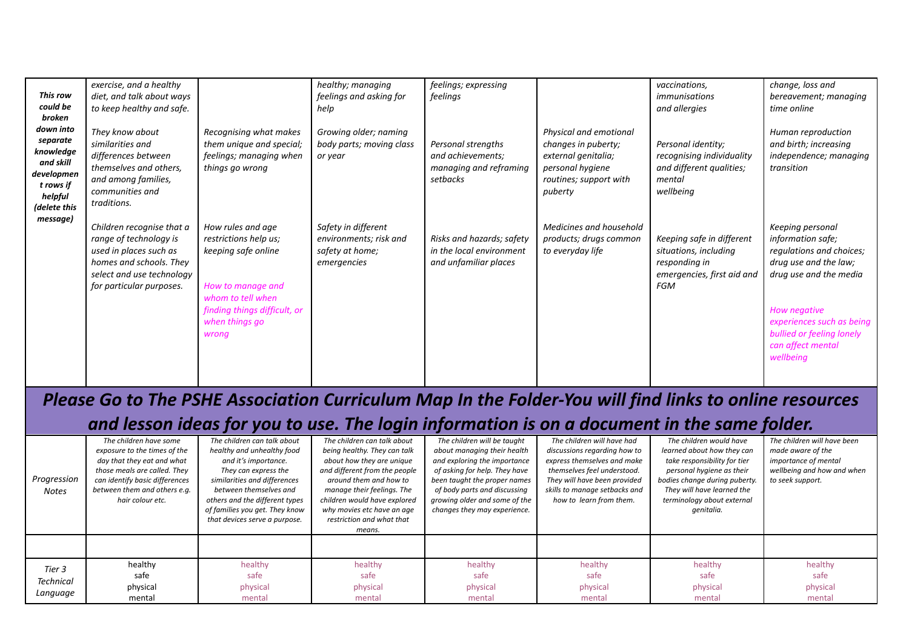|              | exercise, and a healthy   |                              | healthy; managing        | feelings; expressing      |                         | vaccinations,              | change, loss and          |
|--------------|---------------------------|------------------------------|--------------------------|---------------------------|-------------------------|----------------------------|---------------------------|
| This row     | diet, and talk about ways |                              | feelings and asking for  | feelings                  |                         | immunisations              | bereavement; managing     |
| could be     | to keep healthy and safe. |                              | help                     |                           |                         | and allergies              | time online               |
| broken       |                           |                              |                          |                           |                         |                            |                           |
| down into    | They know about           | Recognising what makes       | Growing older; naming    |                           | Physical and emotional  |                            | Human reproduction        |
| separate     | similarities and          | them unique and special;     | body parts; moving class | Personal strengths        | changes in puberty;     | Personal identity;         | and birth; increasing     |
| knowledge    | differences between       | feelings; managing when      | or year                  | and achievements;         | external genitalia;     | recognising individuality  | independence; managing    |
| and skill    | themselves and others,    | things go wrong              |                          | managing and reframing    | personal hygiene        | and different qualities;   | transition                |
| developmen   | and among families,       |                              |                          | setbacks                  | routines; support with  | mental                     |                           |
| t rows if    | communities and           |                              |                          |                           | puberty                 | wellbeing                  |                           |
| helpful      | traditions.               |                              |                          |                           |                         |                            |                           |
| (delete this |                           |                              |                          |                           |                         |                            |                           |
| message)     | Children recognise that a | How rules and age            | Safety in different      |                           | Medicines and household |                            | Keeping personal          |
|              | range of technology is    | restrictions help us;        | environments; risk and   | Risks and hazards; safety | products; drugs common  | Keeping safe in different  | information safe;         |
|              | used in places such as    |                              |                          | in the local environment  |                         |                            |                           |
|              |                           | keeping safe online          | safety at home;          |                           | to everyday life        | situations, including      | regulations and choices;  |
|              | homes and schools. They   |                              | emergencies              | and unfamiliar places     |                         | responding in              | drug use and the law;     |
|              | select and use technology |                              |                          |                           |                         | emergencies, first aid and | drug use and the media    |
|              | for particular purposes.  | How to manage and            |                          |                           |                         | FGM                        |                           |
|              |                           | whom to tell when            |                          |                           |                         |                            |                           |
|              |                           | finding things difficult, or |                          |                           |                         |                            | How negative              |
|              |                           | when things go               |                          |                           |                         |                            | experiences such as being |
|              |                           | wrong                        |                          |                           |                         |                            | bullied or feeling lonely |
|              |                           |                              |                          |                           |                         |                            | can affect mental         |
|              |                           |                              |                          |                           |                         |                            | wellbeing                 |
|              |                           |                              |                          |                           |                         |                            |                           |
|              |                           |                              |                          |                           |                         |                            |                           |

# *Please Go to The PSHE Association Curriculum Map In the Folder-You will find links to online resources and lesson ideas for you to use. The login information is on a document in the same folder.*

| Progression<br><b>Notes</b>            | The children have some<br>exposure to the times of the<br>day that they eat and what<br>those meals are called. They<br>can identify basic differences<br>between them and others e.g.<br>hair colour etc. | The children can talk about<br>healthy and unhealthy food<br>and it's importance.<br>They can express the<br>similarities and differences<br>between themselves and<br>others and the different types<br>of families you get. They know<br>that devices serve a purpose. | The children can talk about<br>being healthy. They can talk<br>about how they are unique<br>and different from the people<br>around them and how to<br>manage their feelings. The<br>children would have explored<br>why movies etc have an age<br>restriction and what that<br>means. | The children will be taught<br>about managing their health<br>and exploring the importance<br>of asking for help. They have<br>been taught the proper names<br>of body parts and discussing<br>growing older and some of the<br>changes they may experience. | The children will have had<br>discussions regarding how to<br>express themselves and make<br>themselves feel understood.<br>They will have been provided<br>skills to manage setbacks and<br>how to learn from them. | The children would have<br>learned about how they can<br>take responsibility for tier<br>personal hygiene as their<br>bodies change during puberty.<br>They will have learned the<br>terminology about external<br>genitalia. | The children will have been<br>made aware of the<br>importance of mental<br>wellbeing and how and when<br>to seek support. |
|----------------------------------------|------------------------------------------------------------------------------------------------------------------------------------------------------------------------------------------------------------|--------------------------------------------------------------------------------------------------------------------------------------------------------------------------------------------------------------------------------------------------------------------------|----------------------------------------------------------------------------------------------------------------------------------------------------------------------------------------------------------------------------------------------------------------------------------------|--------------------------------------------------------------------------------------------------------------------------------------------------------------------------------------------------------------------------------------------------------------|----------------------------------------------------------------------------------------------------------------------------------------------------------------------------------------------------------------------|-------------------------------------------------------------------------------------------------------------------------------------------------------------------------------------------------------------------------------|----------------------------------------------------------------------------------------------------------------------------|
|                                        |                                                                                                                                                                                                            |                                                                                                                                                                                                                                                                          |                                                                                                                                                                                                                                                                                        |                                                                                                                                                                                                                                                              |                                                                                                                                                                                                                      |                                                                                                                                                                                                                               |                                                                                                                            |
| Tier 3<br><b>Technical</b><br>Language | healthy<br>safe<br>physical<br>mental                                                                                                                                                                      | healthy<br>safe<br>physical<br>mental                                                                                                                                                                                                                                    | healthy<br>safe<br>physical<br>mental                                                                                                                                                                                                                                                  | healthy<br>safe<br>physical<br>mental                                                                                                                                                                                                                        | healthy<br>safe<br>physical<br>mental                                                                                                                                                                                | healthy<br>safe<br>physical<br>mental                                                                                                                                                                                         | healthy<br>safe<br>physical<br>mental                                                                                      |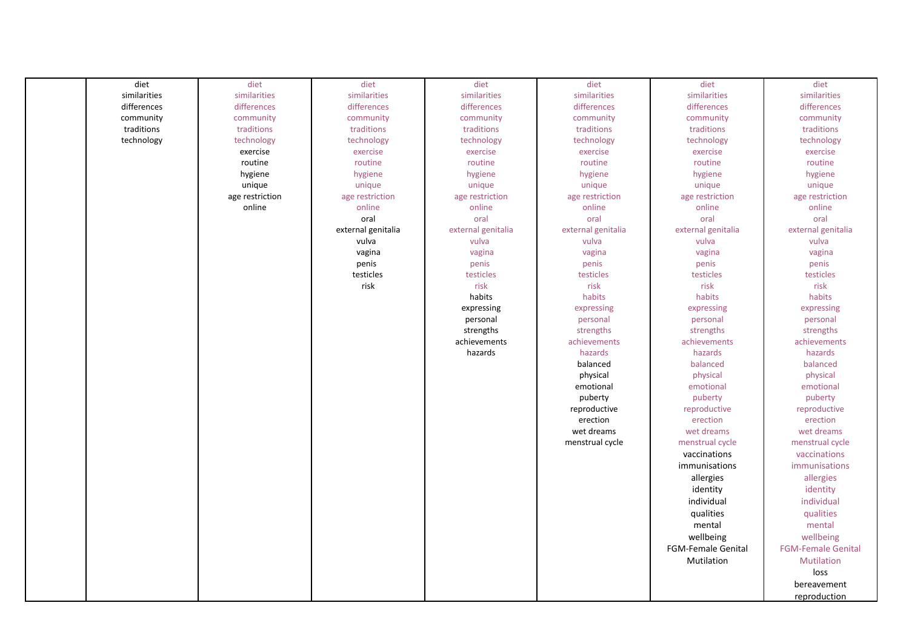| diet         | diet            | diet               | diet               | diet               | diet                      | diet                      |
|--------------|-----------------|--------------------|--------------------|--------------------|---------------------------|---------------------------|
| similarities | similarities    | similarities       | similarities       | similarities       | similarities              | similarities              |
| differences  | differences     | differences        | differences        | differences        | differences               | differences               |
| community    | community       | community          | community          | community          | community                 | community                 |
| traditions   | traditions      | traditions         | traditions         | traditions         | traditions                | traditions                |
| technology   | technology      | technology         | technology         | technology         | technology                | technology                |
|              | exercise        | exercise           | exercise           | exercise           | exercise                  | exercise                  |
|              | routine         | routine            | routine            | routine            | routine                   | routine                   |
|              | hygiene         | hygiene            | hygiene            | hygiene            | hygiene                   | hygiene                   |
|              | unique          | unique             | unique             | unique             | unique                    | unique                    |
|              | age restriction | age restriction    | age restriction    | age restriction    | age restriction           | age restriction           |
|              | online          | online             | online             | online             | online                    | online                    |
|              |                 | oral               | oral               | oral               | oral                      | oral                      |
|              |                 | external genitalia | external genitalia | external genitalia | external genitalia        | external genitalia        |
|              |                 | vulva              | vulva              | vulva              | vulva                     | vulva                     |
|              |                 | vagina             | vagina             | vagina             | vagina                    | vagina                    |
|              |                 |                    |                    |                    |                           |                           |
|              |                 | penis              | penis              | penis              | penis                     | penis                     |
|              |                 | testicles          | testicles          | testicles          | testicles                 | testicles                 |
|              |                 | risk               | risk               | risk               | risk                      | risk                      |
|              |                 |                    | habits             | habits             | habits                    | habits                    |
|              |                 |                    | expressing         | expressing         | expressing                | expressing                |
|              |                 |                    | personal           | personal           | personal                  | personal                  |
|              |                 |                    | strengths          | strengths          | strengths                 | strengths                 |
|              |                 |                    | achievements       | achievements       | achievements              | achievements              |
|              |                 |                    | hazards            | hazards            | hazards                   | hazards                   |
|              |                 |                    |                    | balanced           | balanced                  | balanced                  |
|              |                 |                    |                    | physical           | physical                  | physical                  |
|              |                 |                    |                    | emotional          | emotional                 | emotional                 |
|              |                 |                    |                    | puberty            | puberty                   | puberty                   |
|              |                 |                    |                    | reproductive       | reproductive              | reproductive              |
|              |                 |                    |                    | erection           | erection                  | erection                  |
|              |                 |                    |                    | wet dreams         | wet dreams                | wet dreams                |
|              |                 |                    |                    | menstrual cycle    | menstrual cycle           | menstrual cycle           |
|              |                 |                    |                    |                    | vaccinations              | vaccinations              |
|              |                 |                    |                    |                    | immunisations             | immunisations             |
|              |                 |                    |                    |                    | allergies                 | allergies                 |
|              |                 |                    |                    |                    | identity                  | identity                  |
|              |                 |                    |                    |                    | individual                | individual                |
|              |                 |                    |                    |                    | qualities                 | qualities                 |
|              |                 |                    |                    |                    |                           |                           |
|              |                 |                    |                    |                    | mental                    | mental                    |
|              |                 |                    |                    |                    | wellbeing                 | wellbeing                 |
|              |                 |                    |                    |                    | <b>FGM-Female Genital</b> | <b>FGM-Female Genital</b> |
|              |                 |                    |                    |                    | Mutilation                | Mutilation                |
|              |                 |                    |                    |                    |                           | loss                      |
|              |                 |                    |                    |                    |                           | bereavement               |
|              |                 |                    |                    |                    |                           | reproduction              |